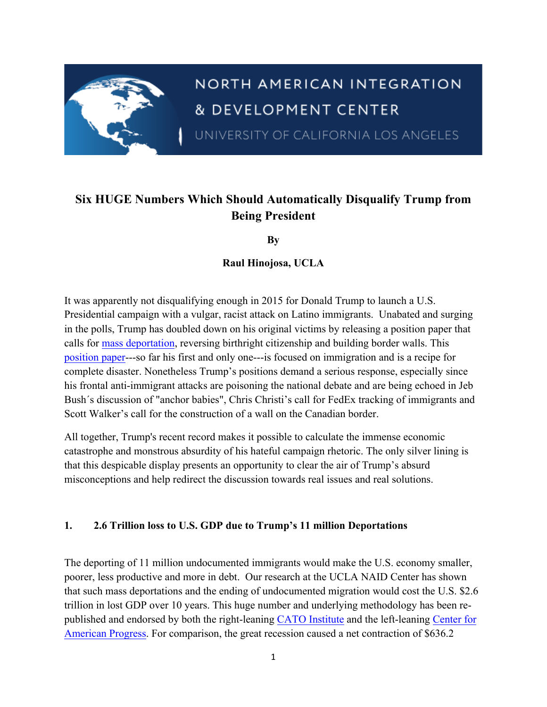

# NORTH AMERICAN INTEGRATION & DEVELOPMENT CENTER

UNIVERSITY OF CALIFORNIA LOS ANGELES

## **Six HUGE Numbers Which Should Automatically Disqualify Trump from Being President**

**By**

**Raul Hinojosa, UCLA**

It was apparently not disqualifying enough in 2015 for Donald Trump to launch a U.S. Presidential campaign with a vulgar, racist attack on Latino immigrants. Unabated and surging in the polls, Trump has doubled down on his original victims by releasing a position paper that calls for mass deportation, reversing birthright citizenship and building border walls. This position paper---so far his first and only one---is focused on immigration and is a recipe for complete disaster. Nonetheless Trump's positions demand a serious response, especially since his frontal anti-immigrant attacks are poisoning the national debate and are being echoed in Jeb Bush´s discussion of "anchor babies", Chris Christi's call for FedEx tracking of immigrants and Scott Walker's call for the construction of a wall on the Canadian border.

All together, Trump's recent record makes it possible to calculate the immense economic catastrophe and monstrous absurdity of his hateful campaign rhetoric. The only silver lining is that this despicable display presents an opportunity to clear the air of Trump's absurd misconceptions and help redirect the discussion towards real issues and real solutions.

#### **1. 2.6 Trillion loss to U.S. GDP due to Trump's 11 million Deportations**

The deporting of 11 million undocumented immigrants would make the U.S. economy smaller, poorer, less productive and more in debt. Our research at the UCLA NAID Center has shown that such mass deportations and the ending of undocumented migration would cost the U.S. \$2.6 trillion in lost GDP over 10 years. This huge number and underlying methodology has been republished and endorsed by both the right-leaning CATO Institute and the left-leaning Center for American Progress. For comparison, the great recession caused a net contraction of \$636.2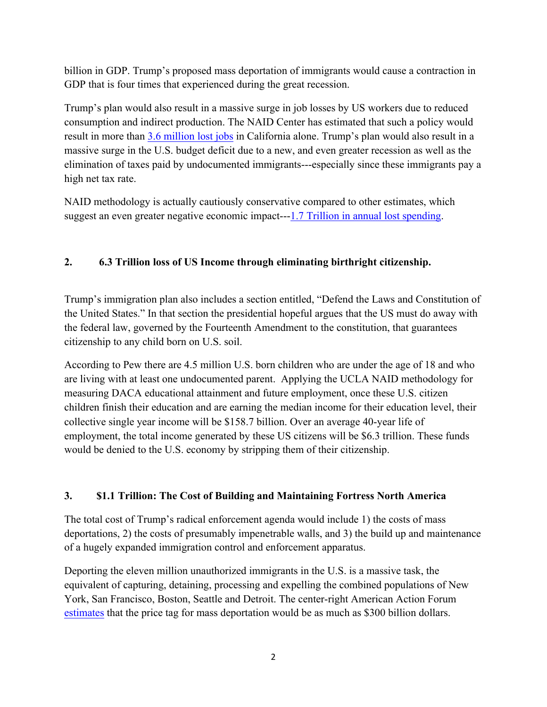billion in GDP. Trump's proposed mass deportation of immigrants would cause a contraction in GDP that is four times that experienced during the great recession.

Trump's plan would also result in a massive surge in job losses by US workers due to reduced consumption and indirect production. The NAID Center has estimated that such a policy would result in more than 3.6 million lost jobs in California alone. Trump's plan would also result in a massive surge in the U.S. budget deficit due to a new, and even greater recession as well as the elimination of taxes paid by undocumented immigrants---especially since these immigrants pay a high net tax rate.

NAID methodology is actually cautiously conservative compared to other estimates, which suggest an even greater negative economic impact---1.7 Trillion in annual lost spending.

#### **2. 6.3 Trillion loss of US Income through eliminating birthright citizenship.**

Trump's immigration plan also includes a section entitled, "Defend the Laws and Constitution of the United States." In that section the presidential hopeful argues that the US must do away with the federal law, governed by the Fourteenth Amendment to the constitution, that guarantees citizenship to any child born on U.S. soil.

According to Pew there are 4.5 million U.S. born children who are under the age of 18 and who are living with at least one undocumented parent. Applying the UCLA NAID methodology for measuring DACA educational attainment and future employment, once these U.S. citizen children finish their education and are earning the median income for their education level, their collective single year income will be \$158.7 billion. Over an average 40-year life of employment, the total income generated by these US citizens will be \$6.3 trillion. These funds would be denied to the U.S. economy by stripping them of their citizenship.

#### **3. \$1.1 Trillion: The Cost of Building and Maintaining Fortress North America**

The total cost of Trump's radical enforcement agenda would include 1) the costs of mass deportations, 2) the costs of presumably impenetrable walls, and 3) the build up and maintenance of a hugely expanded immigration control and enforcement apparatus.

Deporting the eleven million unauthorized immigrants in the U.S. is a massive task, the equivalent of capturing, detaining, processing and expelling the combined populations of New York, San Francisco, Boston, Seattle and Detroit. The center-right American Action Forum estimates that the price tag for mass deportation would be as much as \$300 billion dollars.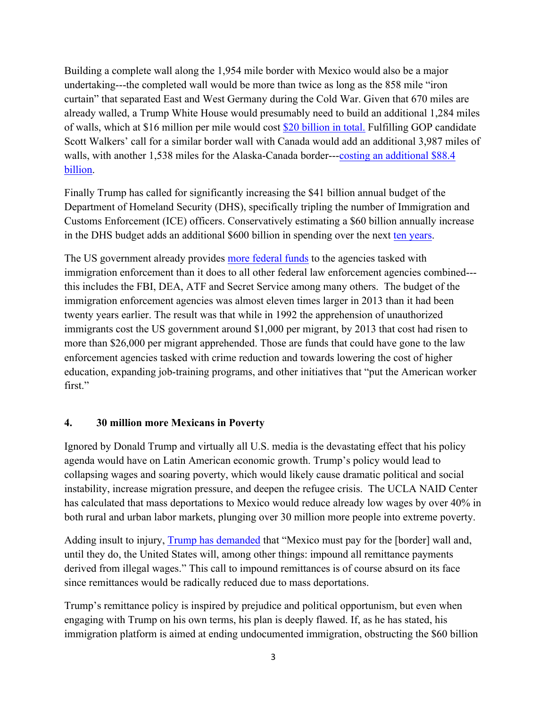Building a complete wall along the 1,954 mile border with Mexico would also be a major undertaking---the completed wall would be more than twice as long as the 858 mile "iron curtain" that separated East and West Germany during the Cold War. Given that 670 miles are already walled, a Trump White House would presumably need to build an additional 1,284 miles of walls, which at \$16 million per mile would cost \$20 billion in total. Fulfilling GOP candidate Scott Walkers' call for a similar border wall with Canada would add an additional 3,987 miles of walls, with another 1,538 miles for the Alaska-Canada border---costing an additional \$88.4 billion.

Finally Trump has called for significantly increasing the \$41 billion annual budget of the Department of Homeland Security (DHS), specifically tripling the number of Immigration and Customs Enforcement (ICE) officers. Conservatively estimating a \$60 billion annually increase in the DHS budget adds an additional \$600 billion in spending over the next ten years.

The US government already provides more federal funds to the agencies tasked with immigration enforcement than it does to all other federal law enforcement agencies combined-- this includes the FBI, DEA, ATF and Secret Service among many others. The budget of the immigration enforcement agencies was almost eleven times larger in 2013 than it had been twenty years earlier. The result was that while in 1992 the apprehension of unauthorized immigrants cost the US government around \$1,000 per migrant, by 2013 that cost had risen to more than \$26,000 per migrant apprehended. Those are funds that could have gone to the law enforcement agencies tasked with crime reduction and towards lowering the cost of higher education, expanding job-training programs, and other initiatives that "put the American worker first."

#### **4. 30 million more Mexicans in Poverty**

Ignored by Donald Trump and virtually all U.S. media is the devastating effect that his policy agenda would have on Latin American economic growth. Trump's policy would lead to collapsing wages and soaring poverty, which would likely cause dramatic political and social instability, increase migration pressure, and deepen the refugee crisis. The UCLA NAID Center has calculated that mass deportations to Mexico would reduce already low wages by over 40% in both rural and urban labor markets, plunging over 30 million more people into extreme poverty.

Adding insult to injury, Trump has demanded that "Mexico must pay for the [border] wall and, until they do, the United States will, among other things: impound all remittance payments derived from illegal wages." This call to impound remittances is of course absurd on its face since remittances would be radically reduced due to mass deportations.

Trump's remittance policy is inspired by prejudice and political opportunism, but even when engaging with Trump on his own terms, his plan is deeply flawed. If, as he has stated, his immigration platform is aimed at ending undocumented immigration, obstructing the \$60 billion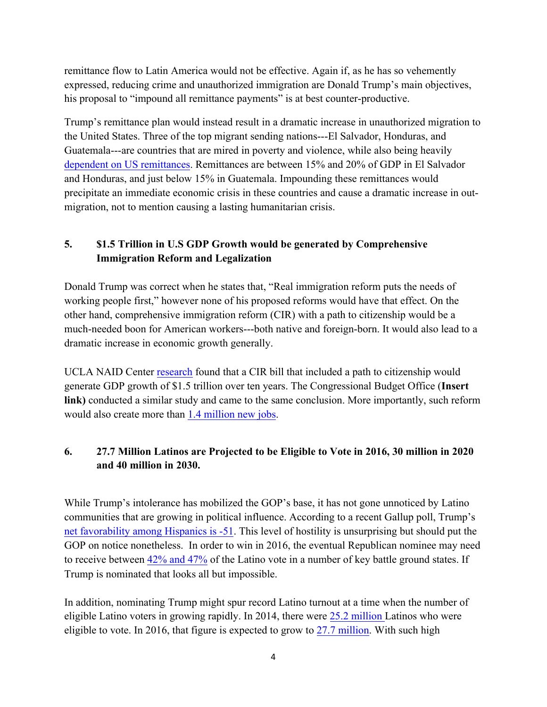remittance flow to Latin America would not be effective. Again if, as he has so vehemently expressed, reducing crime and unauthorized immigration are Donald Trump's main objectives, his proposal to "impound all remittance payments" is at best counter-productive.

Trump's remittance plan would instead result in a dramatic increase in unauthorized migration to the United States. Three of the top migrant sending nations---El Salvador, Honduras, and Guatemala---are countries that are mired in poverty and violence, while also being heavily dependent on US remittances. Remittances are between 15% and 20% of GDP in El Salvador and Honduras, and just below 15% in Guatemala. Impounding these remittances would precipitate an immediate economic crisis in these countries and cause a dramatic increase in outmigration, not to mention causing a lasting humanitarian crisis.

### **5. \$1.5 Trillion in U.S GDP Growth would be generated by Comprehensive Immigration Reform and Legalization**

Donald Trump was correct when he states that, "Real immigration reform puts the needs of working people first," however none of his proposed reforms would have that effect. On the other hand, comprehensive immigration reform (CIR) with a path to citizenship would be a much-needed boon for American workers---both native and foreign-born. It would also lead to a dramatic increase in economic growth generally.

UCLA NAID Center research found that a CIR bill that included a path to citizenship would generate GDP growth of \$1.5 trillion over ten years. The Congressional Budget Office (**Insert link)** conducted a similar study and came to the same conclusion. More importantly, such reform would also create more than 1.4 million new jobs.

#### **6. 27.7 Million Latinos are Projected to be Eligible to Vote in 2016, 30 million in 2020 and 40 million in 2030.**

While Trump's intolerance has mobilized the GOP's base, it has not gone unnoticed by Latino communities that are growing in political influence. According to a recent Gallup poll, Trump's net favorability among Hispanics is -51. This level of hostility is unsurprising but should put the GOP on notice nonetheless. In order to win in 2016, the eventual Republican nominee may need to receive between 42% and 47% of the Latino vote in a number of key battle ground states. If Trump is nominated that looks all but impossible.

In addition, nominating Trump might spur record Latino turnout at a time when the number of eligible Latino voters in growing rapidly. In 2014, there were 25.2 million Latinos who were eligible to vote. In 2016, that figure is expected to grow to 27.7 million. With such high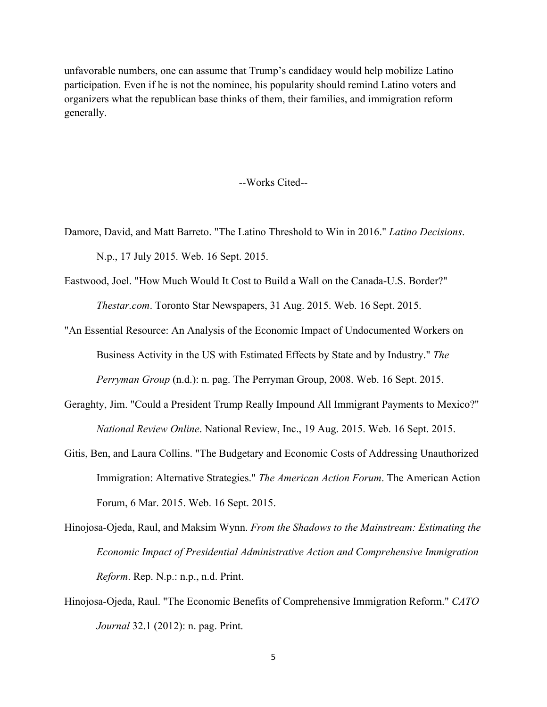unfavorable numbers, one can assume that Trump's candidacy would help mobilize Latino participation. Even if he is not the nominee, his popularity should remind Latino voters and organizers what the republican base thinks of them, their families, and immigration reform generally.

#### --Works Cited--

- Damore, David, and Matt Barreto. "The Latino Threshold to Win in 2016." *Latino Decisions*. N.p., 17 July 2015. Web. 16 Sept. 2015.
- Eastwood, Joel. "How Much Would It Cost to Build a Wall on the Canada-U.S. Border?" *Thestar.com*. Toronto Star Newspapers, 31 Aug. 2015. Web. 16 Sept. 2015.
- "An Essential Resource: An Analysis of the Economic Impact of Undocumented Workers on Business Activity in the US with Estimated Effects by State and by Industry." *The Perryman Group* (n.d.): n. pag. The Perryman Group, 2008. Web. 16 Sept. 2015.
- Geraghty, Jim. "Could a President Trump Really Impound All Immigrant Payments to Mexico?" *National Review Online*. National Review, Inc., 19 Aug. 2015. Web. 16 Sept. 2015.
- Gitis, Ben, and Laura Collins. "The Budgetary and Economic Costs of Addressing Unauthorized Immigration: Alternative Strategies." *The American Action Forum*. The American Action Forum, 6 Mar. 2015. Web. 16 Sept. 2015.
- Hinojosa-Ojeda, Raul, and Maksim Wynn. *From the Shadows to the Mainstream: Estimating the Economic Impact of Presidential Administrative Action and Comprehensive Immigration Reform*. Rep. N.p.: n.p., n.d. Print.
- Hinojosa-Ojeda, Raul. "The Economic Benefits of Comprehensive Immigration Reform." *CATO Journal* 32.1 (2012): n. pag. Print.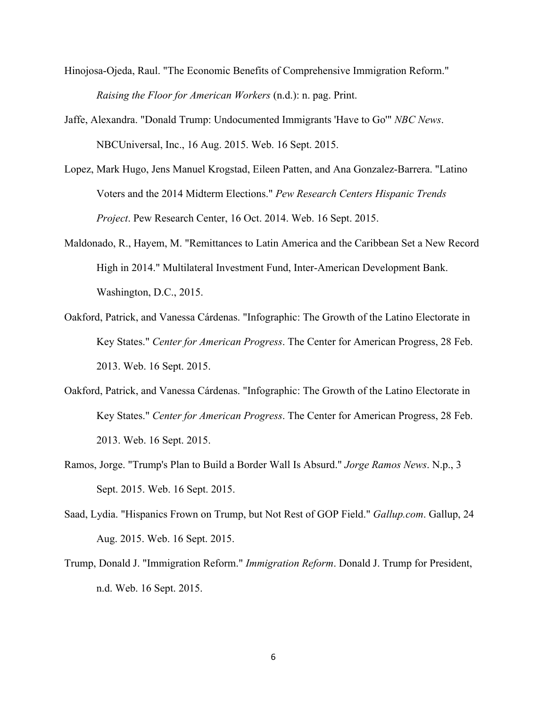- Hinojosa-Ojeda, Raul. "The Economic Benefits of Comprehensive Immigration Reform." *Raising the Floor for American Workers* (n.d.): n. pag. Print.
- Jaffe, Alexandra. "Donald Trump: Undocumented Immigrants 'Have to Go'" *NBC News*. NBCUniversal, Inc., 16 Aug. 2015. Web. 16 Sept. 2015.
- Lopez, Mark Hugo, Jens Manuel Krogstad, Eileen Patten, and Ana Gonzalez-Barrera. "Latino Voters and the 2014 Midterm Elections." *Pew Research Centers Hispanic Trends Project*. Pew Research Center, 16 Oct. 2014. Web. 16 Sept. 2015.
- Maldonado, R., Hayem, M. "Remittances to Latin America and the Caribbean Set a New Record High in 2014." Multilateral Investment Fund, Inter-American Development Bank. Washington, D.C., 2015.
- Oakford, Patrick, and Vanessa Cárdenas. "Infographic: The Growth of the Latino Electorate in Key States." *Center for American Progress*. The Center for American Progress, 28 Feb. 2013. Web. 16 Sept. 2015.
- Oakford, Patrick, and Vanessa Cárdenas. "Infographic: The Growth of the Latino Electorate in Key States." *Center for American Progress*. The Center for American Progress, 28 Feb. 2013. Web. 16 Sept. 2015.
- Ramos, Jorge. "Trump's Plan to Build a Border Wall Is Absurd." *Jorge Ramos News*. N.p., 3 Sept. 2015. Web. 16 Sept. 2015.
- Saad, Lydia. "Hispanics Frown on Trump, but Not Rest of GOP Field." *Gallup.com*. Gallup, 24 Aug. 2015. Web. 16 Sept. 2015.
- Trump, Donald J. "Immigration Reform." *Immigration Reform*. Donald J. Trump for President, n.d. Web. 16 Sept. 2015.